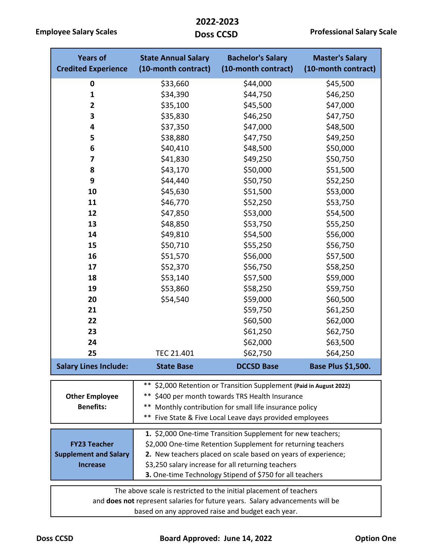**Employee Salary Scales**

 **2022-2023** 

| <b>Years of</b><br><b>Credited Experience</b>                                                                                                       | <b>State Annual Salary</b><br>(10-month contract)                                                                                                                                                                                                                                                              | <b>Bachelor's Salary</b><br>(10-month contract) | <b>Master's Salary</b><br>(10-month contract) |  |  |  |  |
|-----------------------------------------------------------------------------------------------------------------------------------------------------|----------------------------------------------------------------------------------------------------------------------------------------------------------------------------------------------------------------------------------------------------------------------------------------------------------------|-------------------------------------------------|-----------------------------------------------|--|--|--|--|
| $\bf{0}$                                                                                                                                            | \$33,660                                                                                                                                                                                                                                                                                                       | \$44,000                                        | \$45,500                                      |  |  |  |  |
| $\mathbf{1}$                                                                                                                                        | \$34,390                                                                                                                                                                                                                                                                                                       | \$44,750                                        | \$46,250                                      |  |  |  |  |
| $\mathbf{2}$                                                                                                                                        | \$35,100                                                                                                                                                                                                                                                                                                       | \$45,500                                        | \$47,000                                      |  |  |  |  |
| 3                                                                                                                                                   | \$35,830                                                                                                                                                                                                                                                                                                       | \$46,250                                        | \$47,750                                      |  |  |  |  |
| 4                                                                                                                                                   | \$37,350                                                                                                                                                                                                                                                                                                       | \$47,000                                        | \$48,500                                      |  |  |  |  |
| 5                                                                                                                                                   | \$38,880                                                                                                                                                                                                                                                                                                       | \$47,750                                        | \$49,250                                      |  |  |  |  |
| 6                                                                                                                                                   | \$40,410                                                                                                                                                                                                                                                                                                       | \$48,500                                        | \$50,000                                      |  |  |  |  |
| 7                                                                                                                                                   | \$41,830                                                                                                                                                                                                                                                                                                       | \$49,250                                        | \$50,750                                      |  |  |  |  |
| 8                                                                                                                                                   | \$43,170                                                                                                                                                                                                                                                                                                       | \$50,000                                        | \$51,500                                      |  |  |  |  |
| 9                                                                                                                                                   | \$44,440                                                                                                                                                                                                                                                                                                       | \$50,750                                        | \$52,250                                      |  |  |  |  |
| 10                                                                                                                                                  | \$45,630                                                                                                                                                                                                                                                                                                       | \$51,500                                        | \$53,000                                      |  |  |  |  |
| 11                                                                                                                                                  | \$46,770                                                                                                                                                                                                                                                                                                       | \$52,250                                        | \$53,750                                      |  |  |  |  |
| 12                                                                                                                                                  | \$47,850                                                                                                                                                                                                                                                                                                       | \$53,000                                        | \$54,500                                      |  |  |  |  |
| 13                                                                                                                                                  | \$48,850                                                                                                                                                                                                                                                                                                       | \$53,750                                        | \$55,250                                      |  |  |  |  |
| 14                                                                                                                                                  | \$49,810                                                                                                                                                                                                                                                                                                       | \$54,500                                        | \$56,000                                      |  |  |  |  |
| 15                                                                                                                                                  | \$50,710                                                                                                                                                                                                                                                                                                       | \$55,250                                        | \$56,750                                      |  |  |  |  |
| 16                                                                                                                                                  | \$51,570                                                                                                                                                                                                                                                                                                       | \$56,000                                        | \$57,500                                      |  |  |  |  |
| 17                                                                                                                                                  | \$52,370                                                                                                                                                                                                                                                                                                       | \$56,750                                        | \$58,250                                      |  |  |  |  |
| 18                                                                                                                                                  | \$53,140                                                                                                                                                                                                                                                                                                       | \$57,500                                        | \$59,000                                      |  |  |  |  |
| 19                                                                                                                                                  | \$53,860                                                                                                                                                                                                                                                                                                       | \$58,250                                        | \$59,750                                      |  |  |  |  |
| 20                                                                                                                                                  | \$54,540                                                                                                                                                                                                                                                                                                       | \$59,000                                        | \$60,500                                      |  |  |  |  |
| 21                                                                                                                                                  |                                                                                                                                                                                                                                                                                                                | \$59,750                                        | \$61,250                                      |  |  |  |  |
| 22                                                                                                                                                  |                                                                                                                                                                                                                                                                                                                | \$60,500                                        | \$62,000                                      |  |  |  |  |
| 23                                                                                                                                                  |                                                                                                                                                                                                                                                                                                                | \$61,250                                        | \$62,750                                      |  |  |  |  |
| 24                                                                                                                                                  |                                                                                                                                                                                                                                                                                                                | \$62,000                                        | \$63,500                                      |  |  |  |  |
| 25                                                                                                                                                  | TEC 21.401                                                                                                                                                                                                                                                                                                     | \$62,750                                        | \$64,250                                      |  |  |  |  |
| <b>Salary Lines Include:</b>                                                                                                                        | <b>State Base</b>                                                                                                                                                                                                                                                                                              | <b>DCCSD Base</b>                               | Base Plus \$1,500.                            |  |  |  |  |
| <b>Other Employee</b><br><b>Benefits:</b>                                                                                                           | $***$<br>\$2,000 Retention or Transition Supplement (Paid in August 2022)<br>** \$400 per month towards TRS Health Insurance<br>**<br>Monthly contribution for small life insurance policy<br>$***$<br>Five State & Five Local Leave days provided employees                                                   |                                                 |                                               |  |  |  |  |
| <b>FY23 Teacher</b><br><b>Supplement and Salary</b><br><b>Increase</b>                                                                              | 1. \$2,000 One-time Transition Supplement for new teachers;<br>\$2,000 One-time Retention Supplement for returning teachers<br>2. New teachers placed on scale based on years of experience;<br>\$3,250 salary increase for all returning teachers<br>3. One-time Technology Stipend of \$750 for all teachers |                                                 |                                               |  |  |  |  |
| The above scale is restricted to the initial placement of teachers<br>and does not represent salaries for future years. Salary advancements will be |                                                                                                                                                                                                                                                                                                                |                                                 |                                               |  |  |  |  |

based on any approved raise and budget each year.